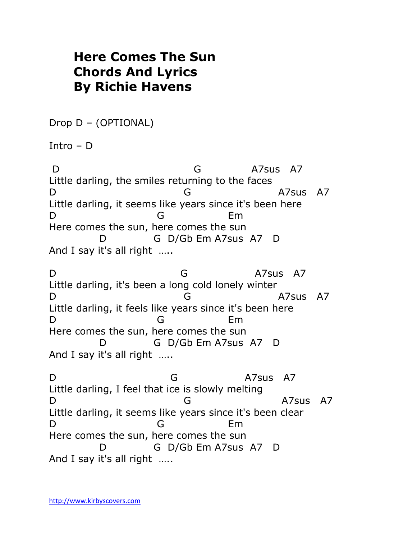## **Here Comes The Sun Chords And Lyrics By Richie Havens**

Drop D – (OPTIONAL)

Intro – D

D G A7sus A7 Little darling, the smiles returning to the faces D G A7sus A7 Little darling, it seems like years since it's been here D G Em Here comes the sun, here comes the sun D G D/Gb Em A7sus A7 D And I say it's all right …..

D G A7sus A7 Little darling, it's been a long cold lonely winter D G A7sus A7 Little darling, it feels like years since it's been here D G Em Here comes the sun, here comes the sun D G D/Gb Em A7sus A7 D And I say it's all right …..

D G A7sus A7 Little darling, I feel that ice is slowly melting D G A7sus A7 Little darling, it seems like years since it's been clear D G Em Here comes the sun, here comes the sun D G D/Gb Em A7sus A7 D And I say it's all right …..